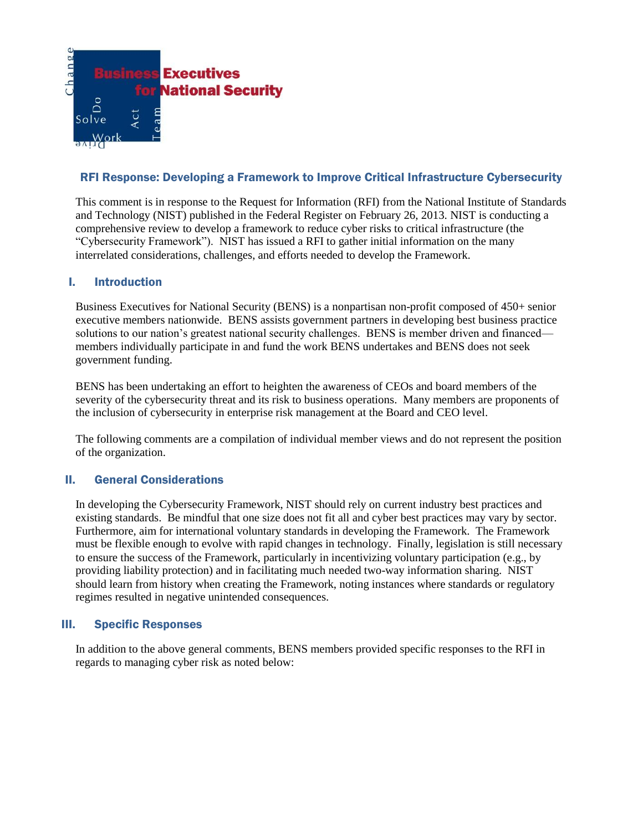

## RFI Response: Developing a Framework to Improve Critical Infrastructure Cybersecurity

This comment is in response to the Request for Information (RFI) from the National Institute of Standards and Technology (NIST) published in the Federal Register on February 26, 2013. NIST is conducting a comprehensive review to develop a framework to reduce cyber risks to critical infrastructure (the "Cybersecurity Framework"). NIST has issued a RFI to gather initial information on the many interrelated considerations, challenges, and efforts needed to develop the Framework.

## I. Introduction

Business Executives for National Security (BENS) is a nonpartisan non-profit composed of 450+ senior executive members nationwide. BENS assists government partners in developing best business practice solutions to our nation's greatest national security challenges. BENS is member driven and financed members individually participate in and fund the work BENS undertakes and BENS does not seek government funding.

BENS has been undertaking an effort to heighten the awareness of CEOs and board members of the severity of the cybersecurity threat and its risk to business operations. Many members are proponents of the inclusion of cybersecurity in enterprise risk management at the Board and CEO level.

The following comments are a compilation of individual member views and do not represent the position of the organization.

## II. General Considerations

In developing the Cybersecurity Framework, NIST should rely on current industry best practices and existing standards. Be mindful that one size does not fit all and cyber best practices may vary by sector. Furthermore, aim for international voluntary standards in developing the Framework. The Framework must be flexible enough to evolve with rapid changes in technology. Finally, legislation is still necessary to ensure the success of the Framework, particularly in incentivizing voluntary participation (e.g., by providing liability protection) and in facilitating much needed two-way information sharing. NIST should learn from history when creating the Framework, noting instances where standards or regulatory regimes resulted in negative unintended consequences.

### III. Specific Responses

In addition to the above general comments, BENS members provided specific responses to the RFI in regards to managing cyber risk as noted below: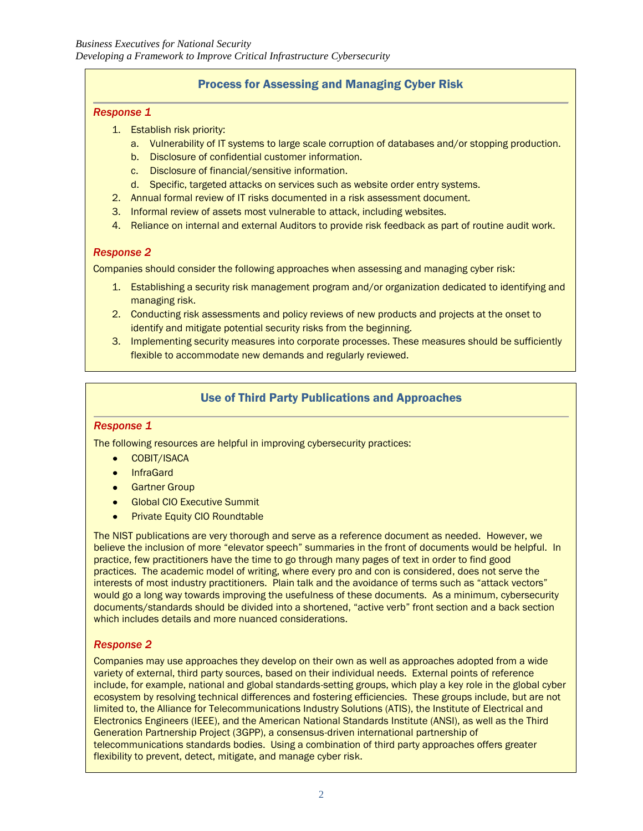# Process for Assessing and Managing Cyber Risk

### *Response 1*

- 1. Establish risk priority:
	- a. Vulnerability of IT systems to large scale corruption of databases and/or stopping production.
	- b. Disclosure of confidential customer information.
	- c. Disclosure of financial/sensitive information.
	- d. Specific, targeted attacks on services such as website order entry systems.
- 2. Annual formal review of IT risks documented in a risk assessment document.
- 3. Informal review of assets most vulnerable to attack, including websites.
- 4. Reliance on internal and external Auditors to provide risk feedback as part of routine audit work.

## *Response 2*

Companies should consider the following approaches when assessing and managing cyber risk:

- 1. Establishing a security risk management program and/or organization dedicated to identifying and managing risk.
- 2. Conducting risk assessments and policy reviews of new products and projects at the onset to identify and mitigate potential security risks from the beginning.
- 3. Implementing security measures into corporate processes. These measures should be sufficiently flexible to accommodate new demands and regularly reviewed.

# Use of Third Party Publications and Approaches

### *Response 1*

The following resources are helpful in improving cybersecurity practices:

- COBIT/ISACA
- **•** InfraGard
- **•** Gartner Group
- **Global CIO Executive Summit**
- Private Equity CIO Roundtable  $\bullet$

The NIST publications are very thorough and serve as a reference document as needed. However, we believe the inclusion of more "elevator speech" summaries in the front of documents would be helpful. In practice, few practitioners have the time to go through many pages of text in order to find good practices. The academic model of writing, where every pro and con is considered, does not serve the interests of most industry practitioners. Plain talk and the avoidance of terms such as "attack vectors" would go a long way towards improving the usefulness of these documents. As a minimum, cybersecurity documents/standards should be divided into a shortened, "active verb" front section and a back section which includes details and more nuanced considerations.

### *Response 2*

Companies may use approaches they develop on their own as well as approaches adopted from a wide variety of external, third party sources, based on their individual needs. External points of reference include, for example, national and global standards-setting groups, which play a key role in the global cyber ecosystem by resolving technical differences and fostering efficiencies. These groups include, but are not limited to, the Alliance for Telecommunications Industry Solutions (ATIS), the Institute of Electrical and Electronics Engineers (IEEE), and the American National Standards Institute (ANSI), as well as the Third Generation Partnership Project (3GPP), a consensus-driven international partnership of telecommunications standards bodies. Using a combination of third party approaches offers greater flexibility to prevent, detect, mitigate, and manage cyber risk.